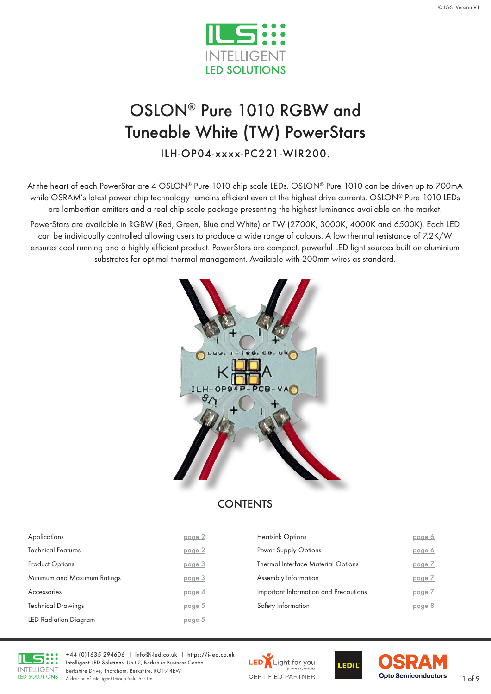

# OSLON® Pure 1010 RGBW and Tuneable White (TW) PowerStars

ILH-OP04-xxxx-PC221-WIR200.

At the heart of each PowerStar are 4 OSLON® Pure 1010 chip scale LEDs. OSLON® Pure 1010 can be driven up to 700mA while OSRAM's latest power chip technology remains efficient even at the highest drive currents. OSLON® Pure 1010 LEDs are lambertian emitters and a real chip scale package presenting the highest luminance available on the market.

PowerStars are available in RGBW (Red, Green, Blue and White) or TW (2700K, 3000K, 4000K and 6500K). Each LED can be individually controlled allowing users to produce a wide range of colours. A low thermal resistance of 7.2K/W ensures cool running and a highly efficient product. PowerStars are compact, powerful LED light sources built on aluminium substrates for optimal thermal management. Available with 200mm wires as standard.



#### **CONTENTS**

| Applications                 | page 2 | <b>Heatsink Options</b>               | page 6 |
|------------------------------|--------|---------------------------------------|--------|
| <b>Technical Features</b>    | page 2 | Power Supply Options                  | page 6 |
| <b>Product Options</b>       | page 3 | Thermal Interface Material Options    | page 7 |
| Minimum and Maximum Ratings  | page 3 | Assembly Information                  | page 7 |
| Accessories                  | page 4 | Important Information and Precautions | page 7 |
| <b>Technical Drawings</b>    | page 5 | Safety Information                    | page 8 |
| <b>LED Radiation Diagram</b> | page 5 |                                       |        |
|                              |        |                                       |        |



+44 (0)1635 294606 | [info@i-led.co.uk](mailto:info@i-led.co.uk) | <https://i-led.co.uk> Intelligent LED Solutions, Unit 2, Berkshire Business Centre, Berkshire Drive, Thatcham, Berkshire, RG19 4EW Berkshire Drive, Ihatcham, Berkshire, RG19 4EW<br>A division of Intelligent Group Solutions Ltd 1 of 9



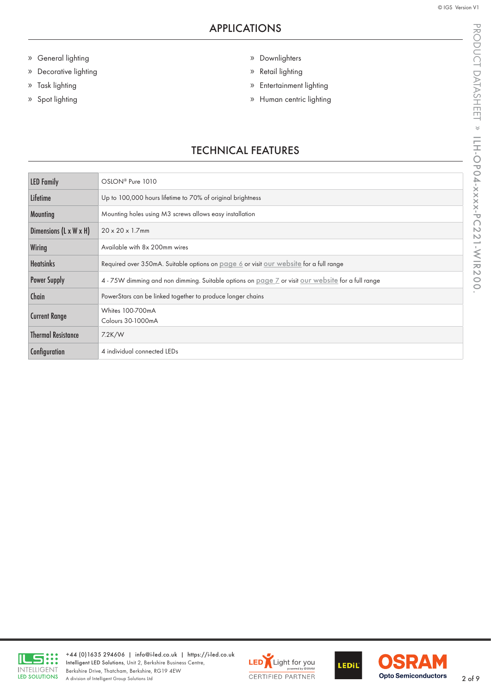- <span id="page-1-0"></span>» General lighting
- » Decorative lighting
- » Task lighting
- » Spot lighting
- » Downlighters
- » Retail lighting
- » Entertainment lighting
- » Human centric lighting

### TECHNICAL FEATURES

| OSLON <sup>®</sup> Pure 1010                                                                                    |
|-----------------------------------------------------------------------------------------------------------------|
| Up to 100,000 hours lifetime to 70% of original brightness                                                      |
| Mounting holes using M3 screws allows easy installation                                                         |
| $20 \times 20 \times 1.7$ mm                                                                                    |
| Available with 8x 200mm wires                                                                                   |
| Required over 350mA. Suitable options on page 6 or visit our website for a full range                           |
| 4 - 75W dimming and non dimming. Suitable options on <u>page 7</u> or visit <u>our website</u> for a full range |
| PowerStars can be linked together to produce longer chains                                                      |
| Whites 100-700mA<br>Colours 30-1000mA                                                                           |
| 7.2K/W                                                                                                          |
| 4 individual connected LEDs                                                                                     |
|                                                                                                                 |







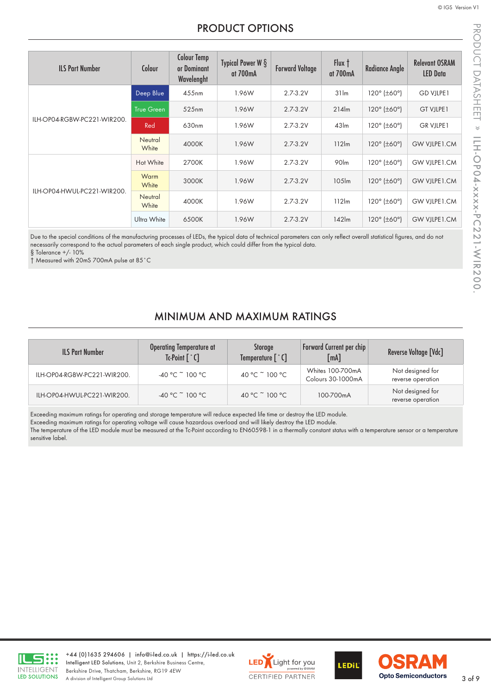#### PRODUCT OPTIONS

<span id="page-2-0"></span>

| <b>ILS Part Number</b>      | Colour            | <b>Colour Temp</b><br>or Dominant<br>Wavelenght | Typical Power W $\S$<br>at 700mA | <b>Forward Voltage</b> | Flux t<br>at 700mA | <b>Radiance Angle</b>                  | <b>Relevant OSRAM</b><br><b>LED Data</b> |
|-----------------------------|-------------------|-------------------------------------------------|----------------------------------|------------------------|--------------------|----------------------------------------|------------------------------------------|
|                             | Deep Blue         | 455nm                                           | 1.96W                            | $2.7 - 3.2V$           | 31 <sub>lm</sub>   | $120^{\circ}$ (±60°)                   | <b>GD VILPE1</b>                         |
| ILH-OP04-RGBW-PC221-WIR200. | <b>True Green</b> | 525nm                                           | 1.96W                            | $2.7 - 3.2V$           | 214 <sub>cm</sub>  | $120^{\circ}$ (±60°)                   | GT VJLPE1                                |
|                             | Red               | 630nm                                           | 1.96W                            | $2.7 - 3.2V$           | 43 <sub>lm</sub>   | $120^{\circ}$ ( $\pm 60^{\circ}$ )     | <b>GR VJLPE1</b>                         |
|                             | Neutral<br>White  | 4000K                                           | 1.96W                            | $2.7 - 3.2V$           | 112 <sub>lm</sub>  | 120 $^{\circ}$ ( $\pm$ 60 $^{\circ}$ ) | <b>GW VJLPE1.CM</b>                      |
| ILH-OP04-HWUL-PC221-WIR200. | Hot White         | 2700K                                           | 1.96W                            | $2.7 - 3.2V$           | 90lm               | 120 $^{\circ}$ ( $\pm$ 60 $^{\circ}$ ) | <b>GW VILPE1.CM</b>                      |
|                             | Warm<br>White     | 3000K                                           | 1.96W                            | $2.7 - 3.2V$           | 105lm              | $120^{\circ}$ (±60°)                   | <b>GW VJLPE1.CM</b>                      |
|                             | Neutral<br>White  | 4000K                                           | 1.96W                            | $2.7 - 3.2V$           | 112 <sub>lm</sub>  | 120 $^{\circ}$ ( $\pm$ 60 $^{\circ}$ ) | GW VJLPE1.CM                             |
|                             | Ultra White       | 6500K                                           | 1.96W                            | $2.7 - 3.2V$           | 142 <sub>lm</sub>  | $120^{\circ}$ (±60°)                   | <b>GW VILPE1.CM</b>                      |

Due to the special conditions of the manufacturing processes of LEDs, the typical data of technical parameters can only reflect overall statistical figures, and do not necessarily correspond to the actual parameters of each single product, which could differ from the typical data. § Tolerance +/- 10%

† Measured with 20mS 700mA pulse at 85˚C

#### MINIMUM AND MAXIMUM RATINGS

| <b>ILS Part Number</b>      | <b>Operating Temperature at</b><br>$Tc$ -Point $\lceil$ $\cdot$ C $\rceil$ | Storage<br>Temperature $\lceil \cdot \mathsf{C} \rceil$ | <b>Forward Current per chip</b><br>$\lceil mA \rceil$ | Reverse Voltage [Vdc]                 |
|-----------------------------|----------------------------------------------------------------------------|---------------------------------------------------------|-------------------------------------------------------|---------------------------------------|
| ILH-OP04-RGBW-PC221-WIR200. | -40 °C $\tilde{C}$ 100 °C                                                  | 40 °C ~ 100 °C                                          | <b>Whites 100-700mA</b><br>Colours 30-1000mA          | Not designed for<br>reverse operation |
| ILH-OP04-HWUL-PC221-WIR200. | $-40 °C$ $-100 °C$                                                         | 40 °C ~ 100 °C                                          | 100-700mA                                             | Not designed for<br>reverse operation |

Exceeding maximum ratings for operating and storage temperature will reduce expected life time or destroy the LED module.

Exceeding maximum ratings for operating voltage will cause hazardous overload and will likely destroy the LED module.

The temperature of the LED module must be measured at the Tc-Point according to EN60598-1 in a thermally constant status with a temperature sensor or a temperature sensitive label.



+44 (0)1635 294606 | [info@i-led.co.uk](mailto:info@i-led.co.uk) | <https://i-led.co.uk> Intelligent LED Solutions, Unit 2, Berkshire Business Centre, Berkshire Drive, Thatcham, Berkshire, RG19 4EW Berkshire Drive, Ihatcham, Berkshire, RG19 4EW<br>A division of Intelligent Group Solutions Ltd 3 of 9





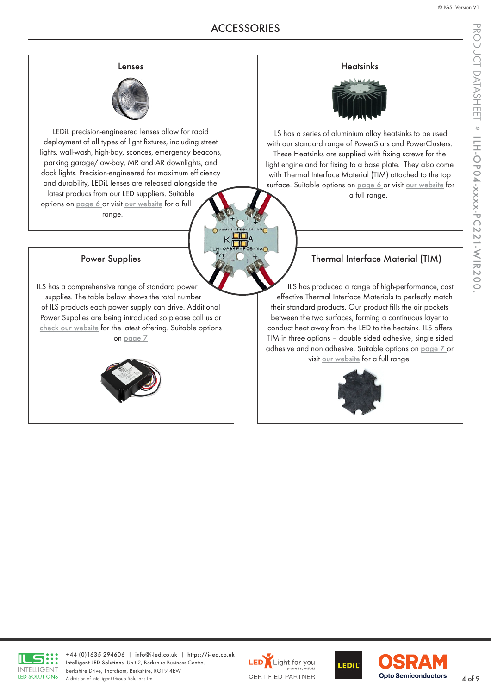PRODUCT DATASHEET

PRODUCT DATASHEET » ILH-OP04-xxxx-PC221-WIR200

ILH-OP04-xxxx-PC221-WIR200.

#### Lenses

<span id="page-3-0"></span>

LEDiL precision-engineered lenses allow for rapid deployment of all types of light fixtures, including street lights, wall-wash, high-bay, sconces, emergency beacons, parking garage/low-bay, MR and AR downlights, and dock lights. Precision-engineered for maximum efficiency and durability, LEDiL lenses are released alongside the latest producs from our LED suppliers. Suitable options on [page 6](#page-5-0) or visit [our website](https://i-led.co.uk/Essential-LED-Accessories/Optics.php) for a full range.

Power Supplies

ILS has a comprehensive range of standard power supplies. The table below shows the total number of ILS products each power supply can drive. Additional Power Supplies are being introduced so please call us or [check our website](https://i-led.co.uk/Essential-LED-Accessories/Drivers-Controllers.php) for the latest offering. Suitable options on [page 7](#page-6-0)



#### **Heatsinks**



ILS has a series of aluminium alloy heatsinks to be used with our standard range of PowerStars and PowerClusters. These Heatsinks are supplied with fixing screws for the light engine and for fixing to a base plate. They also come with Thermal Interface Material (TIM) attached to the top surface. Suitable options on [page 6](#page-5-0) or visit [our website](https://i-led.co.uk/Essential-LED-Accessories/Heatsinks.php) for a full range.

#### Thermal Interface Material (TIM)

ILS has produced a range of high-performance, cost effective Thermal Interface Materials to perfectly match their standard products. Our product fills the air pockets between the two surfaces, forming a continuous layer to conduct heat away from the LED to the heatsink. ILS offers TIM in three options – double sided adhesive, single sided adhesive and non adhesive. Suitable options on [page 7](#page-6-0) or visit [our website](https://i-led.co.uk/Essential-LED-Accessories/TIM.phphttps://i-led.co.uk) for a full range.





+44 (0)1635 294606 | [info@i-led.co.uk](mailto:info@i-led.co.uk) | <https://i-led.co.uk> Intelligent LED Solutions, Unit 2, Berkshire Business Centre, Berkshire Drive, Thatcham, Berkshire, RG19 4EW Berkshire Drive, Ihatcham, Berkshire, RG19 4EW<br>A division of Intelligent Group Solutions Ltd 4 of 9





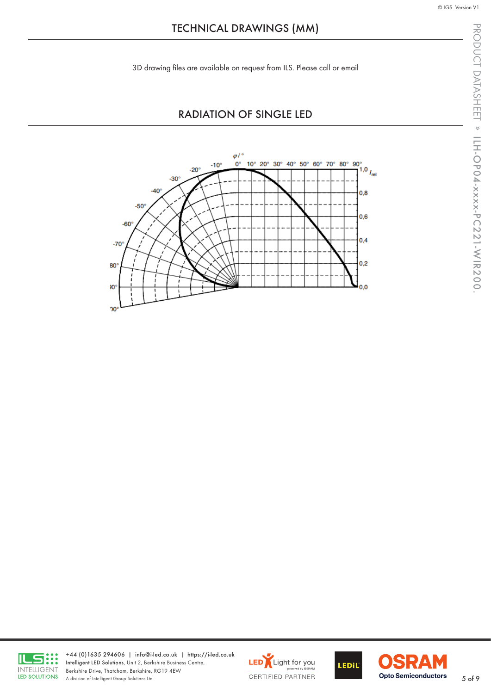<span id="page-4-0"></span>3D drawing files are available on request from ILS. Please call or email

#### RADIATION OF SINGLE LED





+44 (0)1635 294606 | [info@i-led.co.uk](mailto:info@i-led.co.uk) | <https://i-led.co.uk> Intelligent LED Solutions, Unit 2, Berkshire Business Centre, Berkshire Drive, Thatcham, Berkshire, RG19 4EW Berkshire Drive, Indicham, Berkshire, KST9 4EW<br>A division of Intelligent Group Solutions Ltd 5 of 9





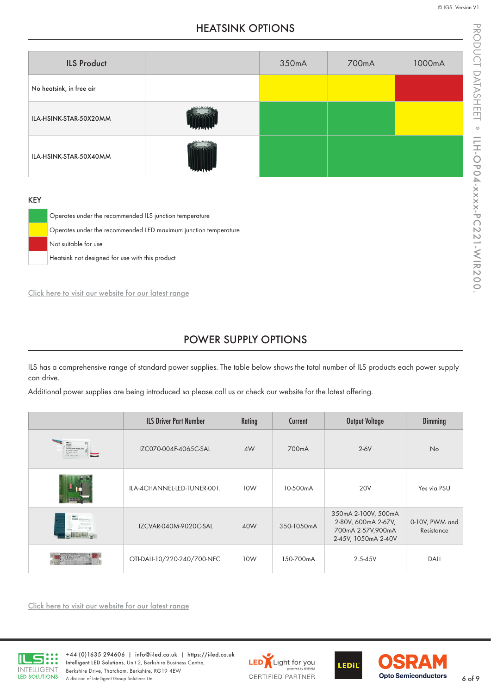© IGS Version V1

### HEATSINK OPTIONS

<span id="page-5-0"></span>

| <b>ILS Product</b>       | 350mA | 700mA | 1000mA |
|--------------------------|-------|-------|--------|
| No heatsink, in free air |       |       |        |
| ILA-HSINK-STAR-50X20MM   |       |       |        |
| ILA-HSINK-STAR-50X40MM   |       |       |        |

#### KEY

Operates under the recommended ILS junction temperature Operates under the recommended LED maximum junction temperature Not suitable for use Heatsink not designed for use with this product

[Click here to visit our website for our latest range](https://i-led.co.uk/Essential-LED-Accessories/Heatsinks.php)

#### POWER SUPPLY OPTIONS

ILS has a comprehensive range of standard power supplies. The table below shows the total number of ILS products each power supply can drive.

Additional power supplies are being introduced so please call us or check our website for the latest offering.

|                                                                                     | <b>ILS Driver Part Number</b> | Rating | Current    | Output Voltage                                                                         | Dimming                      |
|-------------------------------------------------------------------------------------|-------------------------------|--------|------------|----------------------------------------------------------------------------------------|------------------------------|
| <b>DESCRIPTION AND REAL PROPERTY AND REAL PROPERTY</b><br><b>PRI ESEZIEN LIGHTS</b> | IZC070-004F-4065C-SAL         | 4W     | 700mA      | $2-6V$                                                                                 | <b>No</b>                    |
|                                                                                     | ILA-4CHANNEL-LED-TUNER-001.   | 10W    | 10-500mA   | <b>20V</b>                                                                             | Yes via PSU                  |
|                                                                                     | IZCVAR-040M-9020C-SAL         | 40W    | 350-1050mA | 350mA 2-100V, 500mA<br>2-80V, 600mA 2-67V,<br>700mA 2-57V,900mA<br>2-45V, 1050mA 2-40V | 0-10V, PWM and<br>Resistance |
|                                                                                     | OTI-DALI-10/220-240/700-NFC   | 10W    | 150-700mA  | $2.5 - 45V$                                                                            | <b>DALI</b>                  |

[Click here to visit our website for our latest range](https://i-led.co.uk/Essential-LED-Accessories/Drivers-Controllers.php)



+44 (0)1635 294606 | [info@i-led.co.uk](mailto:info@i-led.co.uk) | <https://i-led.co.uk> Intelligent LED Solutions, Unit 2, Berkshire Business Centre, Berkshire Drive, Thatcham, Berkshire, RG19 4EW Berkshire Drive, Thatcham, Berkshire, RG19 4EW<br>A division of Intelligent Group Solutions Ltd 6 of 9





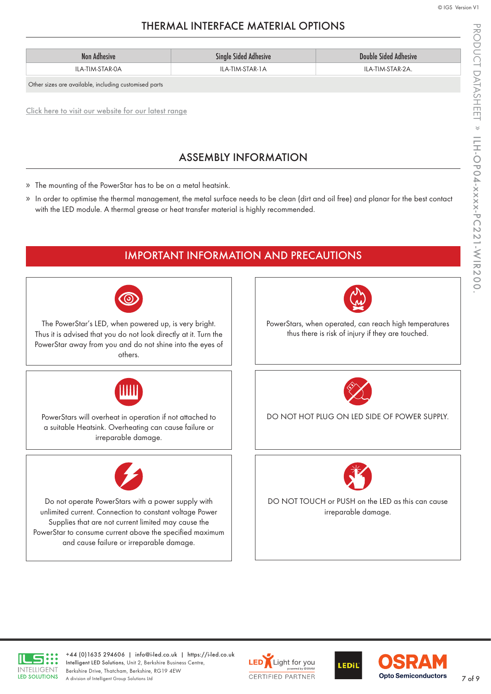# THERMAL INTERFACE MATERIAL OPTIONS

<span id="page-6-0"></span>

| Non Adhesive    | <b>Single Sided Adhesive</b> | <b>Double Sided Adhesive</b> |
|-----------------|------------------------------|------------------------------|
| ILA-TIM-STAR-0A | ILA-TIM-STAR-1A              | ILA-TIM-STAR-2A.             |

Other sizes are available, including customised parts

[Click here to visit our website for our latest range](https://i-led.co.uk/Essential-LED-Accessories/TIM.php)

# ASSEMBLY INFORMATION

- » The mounting of the PowerStar has to be on a metal heatsink.
- » In order to optimise the thermal management, the metal surface needs to be clean (dirt and oil free) and planar for the best contact with the LED module. A thermal grease or heat transfer material is highly recommended.





+44 (0)1635 294606 | [info@i-led.co.uk](mailto:info@i-led.co.uk) | <https://i-led.co.uk> Intelligent LED Solutions, Unit 2, Berkshire Business Centre, Berkshire Drive, Thatcham, Berkshire, RG19 4EW Berkshire Drive, Thatcham, Berkshire, RG19 4EW<br>A division of Intelligent Group Solutions Ltd 7 of 9





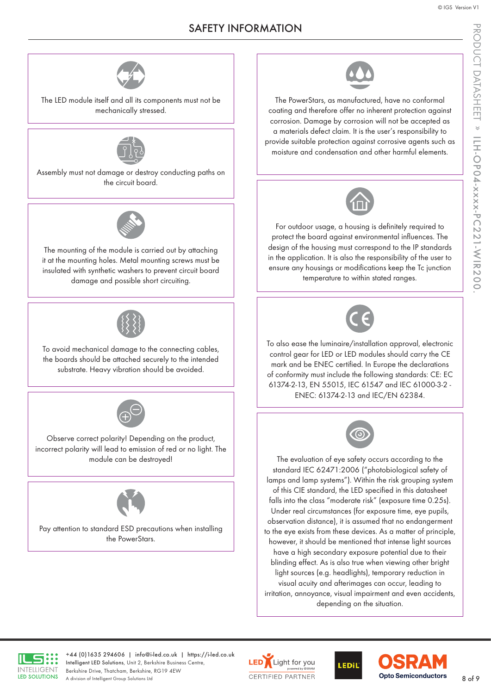### SAFETY INFORMATION



<span id="page-7-0"></span>The LED module itself and all its components must not be mechanically stressed.



Assembly must not damage or destroy conducting paths on the circuit board.



The mounting of the module is carried out by attaching it at the mounting holes. Metal mounting screws must be insulated with synthetic washers to prevent circuit board damage and possible short circuiting.



To avoid mechanical damage to the connecting cables, the boards should be attached securely to the intended substrate. Heavy vibration should be avoided.



Observe correct polarity! Depending on the product, incorrect polarity will lead to emission of red or no light. The module can be destroyed!



Pay attention to standard ESD precautions when installing the PowerStars.



The PowerStars, as manufactured, have no conformal coating and therefore offer no inherent protection against corrosion. Damage by corrosion will not be accepted as a materials defect claim. It is the user's responsibility to provide suitable protection against corrosive agents such as moisture and condensation and other harmful elements.



For outdoor usage, a housing is definitely required to protect the board against environmental influences. The design of the housing must correspond to the IP standards in the application. It is also the responsibility of the user to ensure any housings or modifications keep the Tc junction temperature to within stated ranges.



To also ease the luminaire/installation approval, electronic control gear for LED or LED modules should carry the CE mark and be ENEC certified. In Europe the declarations of conformity must include the following standards: CE: EC 61374-2-13, EN 55015, IEC 61547 and IEC 61000-3-2 - ENEC: 61374-2-13 and IEC/EN 62384.



The evaluation of eye safety occurs according to the standard IEC 62471:2006 ("photobiological safety of lamps and lamp systems"). Within the risk grouping system of this CIE standard, the LED specified in this datasheet falls into the class "moderate risk" (exposure time 0.25s). Under real circumstances (for exposure time, eye pupils, observation distance), it is assumed that no endangerment to the eye exists from these devices. As a matter of principle, however, it should be mentioned that intense light sources have a high secondary exposure potential due to their blinding effect. As is also true when viewing other bright light sources (e.g. headlights), temporary reduction in visual acuity and afterimages can occur, leading to irritation, annoyance, visual impairment and even accidents, depending on the situation.



+44 (0)1635 294606 | [info@i-led.co.uk](mailto:info@i-led.co.uk) | <https://i-led.co.uk> Intelligent LED Solutions, Unit 2, Berkshire Business Centre, Berkshire Drive, Thatcham, Berkshire, RG19 4EW Berkshire Drive, Thatcham, Berkshire, RG19 4EW<br>A division of Intelligent Group Solutions Ltd 8 of 9